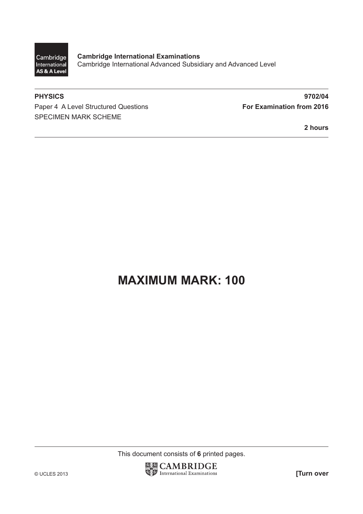

**Cambridge International Examinations** Cambridge International Advanced Subsidiary and Advanced Level

Paper 4 A Level Structured Questions **For Examination from 2016** SPECIMEN MARK SCHEME

**PHYSICS 9702/04**

**2 hours**

# **MAXIMUM MARK: 100**

This document consists of **6** printed pages.

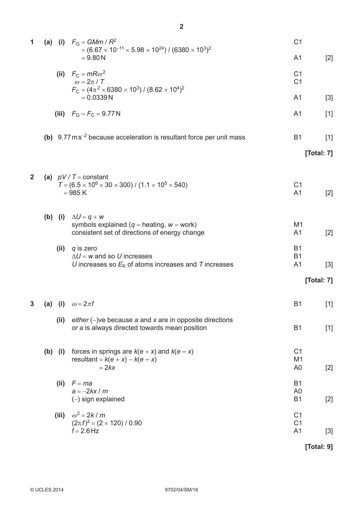| 1            | (a) |           | (i) $F_{\rm G} = GMm/R^2$<br>$= (6.67 \times 10^{-11} \times 5.98 \times 10^{24}) / (6380 \times 10^{3})^2$<br>$= 9.80 N$ | C <sub>1</sub>                                     |            |
|--------------|-----|-----------|---------------------------------------------------------------------------------------------------------------------------|----------------------------------------------------|------------|
|              |     |           |                                                                                                                           | A <sub>1</sub>                                     | $[2]$      |
|              |     |           | (ii) $F_C = mR\omega^2$<br>$\omega = 2\pi / T$<br>$F_C = (4\pi^2 \times 6380 \times 10^3) / (8.62 \times 10^4)^2$         | C <sub>1</sub><br>C <sub>1</sub>                   |            |
|              |     |           | $= 0.0339 N$                                                                                                              | A <sub>1</sub>                                     | $[3]$      |
|              |     |           | (iii) $F_G - F_C = 9.77 N$                                                                                                | A <sub>1</sub>                                     | $[1]$      |
|              |     |           | (b) $9.77 \text{ ms}^{-2}$ because acceleration is resultant force per unit mass                                          | <b>B1</b>                                          | $[1]$      |
|              |     |           |                                                                                                                           |                                                    | [Total: 7] |
| $\mathbf{2}$ |     |           | (a) $pV/T = constant$<br>$T = (6.5 \times 10^6 \times 30 \times 300) / (1.1 \times 10^5 \times 540)$<br>$= 985 K$         | C <sub>1</sub><br>A <sub>1</sub>                   | $[2]$      |
|              |     | $(b)$ (i) | $\Delta U = q + w$<br>symbols explained ( $q =$ heating, $w =$ work)<br>consistent set of directions of energy change     | M1<br>A <sub>1</sub>                               | $[2]$      |
|              |     | (ii)      | q is zero<br>$\Delta U$ = w and so U increases<br>U increases so $EK$ of atoms increases and T increases                  | <b>B1</b><br><b>B1</b><br>A <sub>1</sub>           | $[3]$      |
|              |     |           |                                                                                                                           |                                                    | [Total: 7] |
| 3            | (a) | (i)       | $\omega = 2\pi f$                                                                                                         | <b>B1</b>                                          | $[1]$      |
|              |     | (ii)      | either $(-)$ ve because a and x are in opposite directions<br>or a is always directed towards mean position               | <b>B1</b>                                          | $[1]$      |
|              |     | $(b)$ (i) | forces in springs are $k(e + x)$ and $k(e - x)$<br>resultant = $k(e + x) - k(e - x)$<br>$= 2kx$                           | C <sub>1</sub><br>M1<br>A <sub>0</sub>             | $[2]$      |
|              |     | (ii)      | $F = ma$<br>$a = -2kx/m$<br>$(-)$ sign explained                                                                          | <b>B1</b><br>A <sub>0</sub><br><b>B1</b>           | $[2]$      |
|              |     | (iii)     | $\omega^2$ = 2k / m<br>$(2\pi f)^2 = (2 \times 120) / 0.90$<br>$f = 2.6$ Hz                                               | C <sub>1</sub><br>C <sub>1</sub><br>A <sub>1</sub> | $[3]$      |
|              |     |           |                                                                                                                           |                                                    | [Total: 9] |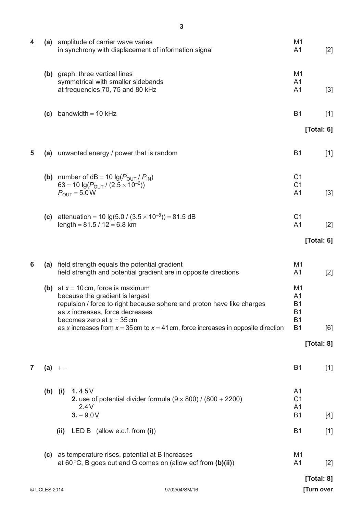| 4              |                               | (a) amplitude of carrier wave varies<br>in synchrony with displacement of information signal                                                                                                                                                                                                                 | M <sub>1</sub><br>A1                                                                 | $[2]$                    |
|----------------|-------------------------------|--------------------------------------------------------------------------------------------------------------------------------------------------------------------------------------------------------------------------------------------------------------------------------------------------------------|--------------------------------------------------------------------------------------|--------------------------|
|                |                               | (b) graph: three vertical lines<br>symmetrical with smaller sidebands<br>at frequencies 70, 75 and 80 kHz                                                                                                                                                                                                    | M1<br>A <sub>1</sub><br>A <sub>1</sub>                                               | $[3]$                    |
|                | (c)                           | bandwidth $= 10$ kHz                                                                                                                                                                                                                                                                                         | <b>B1</b>                                                                            | $[1]$                    |
|                |                               |                                                                                                                                                                                                                                                                                                              |                                                                                      | [Total: $6$ ]            |
| 5              |                               | (a) unwanted energy / power that is random                                                                                                                                                                                                                                                                   | <b>B1</b>                                                                            | $[1]$                    |
|                |                               | (b) number of $dB = 10 \lg(P_{OUT} / P_{IN})$<br>63 = 10 $\lg(P_{\text{OUT}} / (2.5 \times 10^{-6}))$<br>$P_{\text{OUT}} = 5.0 \text{W}$                                                                                                                                                                     | C <sub>1</sub><br>C <sub>1</sub><br>A <sub>1</sub>                                   | $[3]$                    |
|                | (c)                           | attenuation = 10 lg(5.0 / (3.5 $\times$ 10 <sup>-8</sup> )) = 81.5 dB<br>length = $81.5 / 12 = 6.8$ km                                                                                                                                                                                                       | C <sub>1</sub><br>A <sub>1</sub>                                                     | $[2]$                    |
|                |                               |                                                                                                                                                                                                                                                                                                              |                                                                                      | [Total: $6$ ]            |
| 6              |                               | (a) field strength equals the potential gradient<br>field strength and potential gradient are in opposite directions                                                                                                                                                                                         | M <sub>1</sub><br>A <sub>1</sub>                                                     | $[2]$                    |
|                |                               | (b) at $x = 10$ cm, force is maximum<br>because the gradient is largest<br>repulsion / force to right because sphere and proton have like charges<br>as x increases, force decreases<br>becomes zero at $x = 35$ cm<br>as x increases from $x = 35$ cm to $x = 41$ cm, force increases in opposite direction | M <sub>1</sub><br>A <sub>1</sub><br><b>B1</b><br><b>B1</b><br><b>B1</b><br><b>B1</b> | [6]                      |
|                |                               |                                                                                                                                                                                                                                                                                                              |                                                                                      | [Total: 8]               |
| $\overline{7}$ |                               | $(a) + -$                                                                                                                                                                                                                                                                                                    | <b>B1</b>                                                                            | $[1]$                    |
|                | (b)                           | 1.4.5 $V$<br>(i)<br>2. use of potential divider formula $(9 \times 800)$ / (800 + 2200)<br>2.4V<br>$3. - 9.0V$                                                                                                                                                                                               | A1<br>C <sub>1</sub><br>A <sub>1</sub><br><b>B1</b>                                  | $[4]$                    |
|                |                               | LED B (allow e.c.f. from $(i)$ )<br>(ii)                                                                                                                                                                                                                                                                     | <b>B1</b>                                                                            | $[1]$                    |
|                |                               | (c) as temperature rises, potential at B increases<br>at 60 $\degree$ C, B goes out and G comes on (allow ecf from (b)(ii))                                                                                                                                                                                  | M <sub>1</sub><br>A <sub>1</sub>                                                     | $[2]$                    |
|                | © UCLES 2014<br>9702/04/SM/16 |                                                                                                                                                                                                                                                                                                              |                                                                                      | [Total: 8]<br>[Turn over |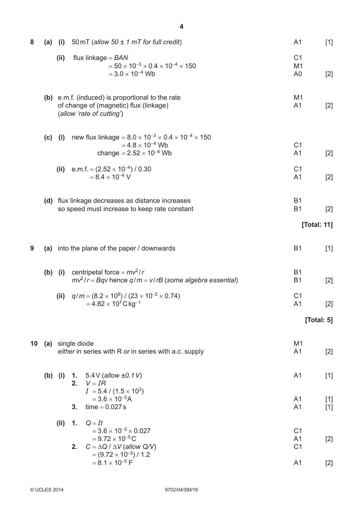| 8  | (a) | (i)       | 50 mT (allow 50 $\pm$ 1 mT for full credit)                                                                                                    | A <sub>1</sub>                                     | $[1]$          |
|----|-----|-----------|------------------------------------------------------------------------------------------------------------------------------------------------|----------------------------------------------------|----------------|
|    |     | (ii)      | flux linkage = $BAN$<br>$=$ 50 $\times$ 10 <sup>-3</sup> $\times$ 0.4 $\times$ 10 <sup>-4</sup> $\times$ 150<br>$= 3.0 \times 10^{-4}$ Wb      | C <sub>1</sub><br>M1<br>A <sub>0</sub>             | $[2]$          |
|    |     |           | (b) e.m.f. (induced) is proportional to the rate<br>of change of (magnetic) flux (linkage)<br>(allow 'rate of cutting')                        | M <sub>1</sub><br>A <sub>1</sub>                   | $[2]$          |
|    | (c) | (i)       | new flux linkage = $8.0 \times 10^{-3} \times 0.4 \times 10^{-4} \times 150$<br>$= 4.8 \times 10^{-4}$ Wb<br>change = $2.52 \times 10^{-4}$ Wb | C <sub>1</sub><br>A <sub>1</sub>                   | $[2]$          |
|    |     | (ii)      | e.m.f. = $(2.52 \times 10^{-4})/0.30$<br>$= 8.4 \times 10^{-4}$ V                                                                              | C <sub>1</sub><br>A <sub>1</sub>                   | $[2]$          |
|    |     |           | (d) flux linkage decreases as distance increases<br>so speed must increase to keep rate constant                                               | <b>B1</b><br><b>B1</b>                             | $[2]$          |
|    |     |           |                                                                                                                                                |                                                    | [Total: 11]    |
| 9  | (a) |           | into the plane of the paper / downwards                                                                                                        | B <sub>1</sub>                                     | $[1]$          |
|    |     | $(b)$ (i) | centripetal force = $mv^2/r$<br>$mv^2/r = Bqv$ hence $q/m = v/rB$ (some algebra essential)                                                     | <b>B1</b><br><b>B1</b>                             | $[2]$          |
|    |     | (ii)      | $q/m = (8.2 \times 10^6) / (23 \times 10^{-2} \times 0.74)$<br>$= 4.82 \times 10^7 \, C \, kg^{-1}$                                            | C <sub>1</sub><br>A <sub>1</sub>                   | $[2]$          |
|    |     |           |                                                                                                                                                |                                                    | [Total: $5$ ]  |
| 10 |     |           | (a) single diode<br>either in series with R or in series with a.c. supply                                                                      | M <sub>1</sub><br>A <sub>1</sub>                   | $[2]$          |
|    |     | $(b)$ (i) | 1. $5.4V$ (allow $\pm 0.1V$ )<br>2. $V = IR$<br>$I = 5.4 / (1.5 \times 10^3)$                                                                  | A <sub>1</sub>                                     | $[1]$          |
|    |     |           | $= 3.6 \times 10^{-3}$ A<br>$time = 0.027s$<br>3.                                                                                              | A <sub>1</sub><br>A <sub>1</sub>                   | $[1]$<br>$[1]$ |
|    |     | (ii)      | $Q=It$<br>1.<br>$= 3.6 \times 10^{-3} \times 0.027$<br>$= 9.72 \times 10^{-5}$ C<br>$C = \Delta Q / \Delta V$ (allow Q/V)<br>2.                | C <sub>1</sub><br>A <sub>1</sub><br>C <sub>1</sub> | $[2]$          |
|    |     |           | $=(9.72\times10^{-5})/1.2$<br>$= 8.1 \times 10^{-5}$ F                                                                                         | A <sub>1</sub>                                     | $[2]$          |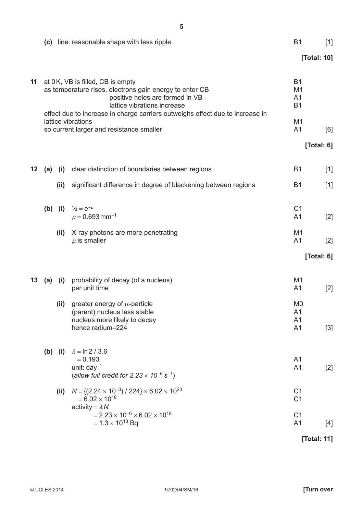|    |                                                                                                                                                                                                                                                |      | (c) line: reasonable shape with less ripple                                                                                | B <sub>1</sub>                                             | $[1]$       |
|----|------------------------------------------------------------------------------------------------------------------------------------------------------------------------------------------------------------------------------------------------|------|----------------------------------------------------------------------------------------------------------------------------|------------------------------------------------------------|-------------|
|    |                                                                                                                                                                                                                                                |      |                                                                                                                            |                                                            | [Total: 10] |
| 11 | at 0K, VB is filled, CB is empty<br>as temperature rises, electrons gain energy to enter CB<br>positive holes are formed in VB<br>lattice vibrations increase<br>effect due to increase in charge carriers outweighs effect due to increase in |      |                                                                                                                            | <b>B1</b><br>M <sub>1</sub><br>A <sub>1</sub><br><b>B1</b> |             |
|    |                                                                                                                                                                                                                                                |      | lattice vibrations<br>so current larger and resistance smaller                                                             | M <sub>1</sub><br>A <sub>1</sub>                           | [6]         |
|    |                                                                                                                                                                                                                                                |      |                                                                                                                            |                                                            | [Total: 6]  |
|    |                                                                                                                                                                                                                                                |      |                                                                                                                            |                                                            |             |
| 12 | (a)                                                                                                                                                                                                                                            | (i)  | clear distinction of boundaries between regions                                                                            | <b>B1</b>                                                  | $[1]$       |
|    |                                                                                                                                                                                                                                                | (ii) | significant difference in degree of blackening between regions                                                             | <b>B1</b>                                                  | $[1]$       |
|    | (b)                                                                                                                                                                                                                                            | (i)  | $\frac{1}{2} = e^{-\mu}$<br>$\mu$ = 0.693 mm <sup>-1</sup>                                                                 | C <sub>1</sub><br>A <sub>1</sub>                           | $[2]$       |
|    |                                                                                                                                                                                                                                                | (ii) | X-ray photons are more penetrating<br>$\mu$ is smaller                                                                     | M <sub>1</sub><br>A <sub>1</sub>                           | $[2]$       |
|    |                                                                                                                                                                                                                                                |      |                                                                                                                            |                                                            | [Total: 6]  |
| 13 | (a)                                                                                                                                                                                                                                            | (i)  | probability of decay (of a nucleus)<br>per unit time                                                                       | M <sub>1</sub><br>A <sub>1</sub>                           | $[2]$       |
|    |                                                                                                                                                                                                                                                | (ii) | greater energy of $\alpha$ -particle<br>(parent) nucleus less stable<br>nucleus more likely to decay<br>hence radium-224   | M <sub>0</sub><br>A1<br>A1<br>A <sub>1</sub>               | $[3]$       |
|    | (b)                                                                                                                                                                                                                                            | (i)  | $\lambda = \ln 2 / 3.6$<br>$= 0.193$<br>unit: $day^{-1}$<br>(allow full credit for $2.23 \times 10^{-6}$ s <sup>-1</sup> ) | A <sub>1</sub><br>A <sub>1</sub>                           | $[2]$       |
|    |                                                                                                                                                                                                                                                | (ii) | $N = \{(2.24 \times 10^{-3}) / 224\} \times 6.02 \times 10^{23}$<br>$= 6.02 \times 10^{18}$<br>activity = $\lambda N$      | C <sub>1</sub><br>C <sub>1</sub>                           |             |
|    |                                                                                                                                                                                                                                                |      | $= 2.23 \times 10^{-6} \times 6.02 \times 10^{18}$<br>$= 1.3 \times 10^{13}$ Bq                                            | C <sub>1</sub><br>A <sub>1</sub>                           | $[4]$       |
|    |                                                                                                                                                                                                                                                |      |                                                                                                                            |                                                            | [Total: 11] |